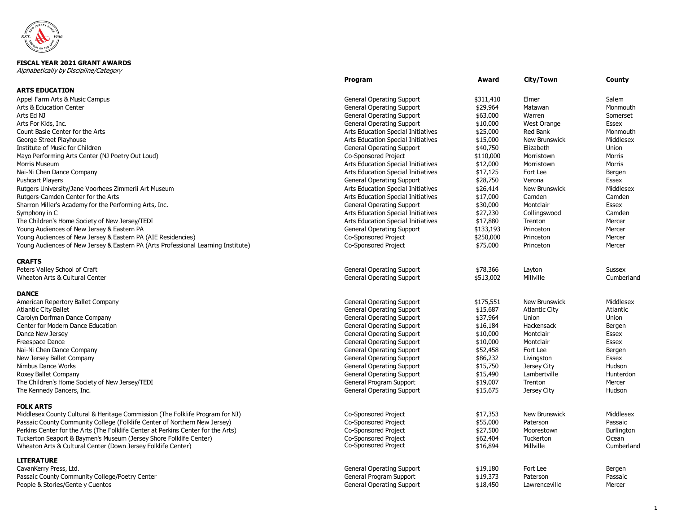

## **FISCAL YEAR 2021 GRANT AWARDS**

Alphabetically by Discipline/Category

|                                                                                                                                    | Program                                      | Award                | City/Town              | County              |
|------------------------------------------------------------------------------------------------------------------------------------|----------------------------------------------|----------------------|------------------------|---------------------|
| <b>ARTS EDUCATION</b>                                                                                                              |                                              |                      |                        |                     |
| Appel Farm Arts & Music Campus                                                                                                     | <b>General Operating Support</b>             | \$311,410            | Elmer                  | Salem               |
| <b>Arts &amp; Education Center</b>                                                                                                 | <b>General Operating Support</b>             | \$29,964             | Matawan                | Monmouth            |
| Arts Ed NJ                                                                                                                         | <b>General Operating Support</b>             | \$63,000             | Warren                 | Somerset            |
| Arts For Kids, Inc.                                                                                                                | <b>General Operating Support</b>             | \$10,000             | <b>West Orange</b>     | <b>Essex</b>        |
| Count Basie Center for the Arts                                                                                                    | Arts Education Special Initiatives           | \$25,000             | <b>Red Bank</b>        | Monmouth            |
| George Street Playhouse                                                                                                            | Arts Education Special Initiatives           | \$15,000             | <b>New Brunswick</b>   | Middlesex           |
| Institute of Music for Children                                                                                                    | <b>General Operating Support</b>             | \$40,750             | Elizabeth              | Union               |
| Mayo Performing Arts Center (NJ Poetry Out Loud)                                                                                   | Co-Sponsored Project                         | \$110,000            | Morristown             | <b>Morris</b>       |
| Morris Museum                                                                                                                      | Arts Education Special Initiatives           | \$12,000             | Morristown             | Morris              |
| Nai-Ni Chen Dance Company                                                                                                          | Arts Education Special Initiatives           | \$17,125             | Fort Lee               | Bergen              |
| <b>Pushcart Players</b>                                                                                                            | <b>General Operating Support</b>             | \$28,750             | Verona                 | Essex               |
| Rutgers University/Jane Voorhees Zimmerli Art Museum                                                                               | Arts Education Special Initiatives           | \$26,414             | New Brunswick          | Middlesex           |
| Rutgers-Camden Center for the Arts                                                                                                 | Arts Education Special Initiatives           | \$17,000             | Camden                 | Camden              |
| Sharron Miller's Academy for the Performing Arts, Inc.                                                                             | <b>General Operating Support</b>             | \$30,000             | Montclair              | Essex               |
| Symphony in C                                                                                                                      | Arts Education Special Initiatives           | \$27,230             | Collingswood           | Camden              |
| The Children's Home Society of New Jersey/TEDI                                                                                     | Arts Education Special Initiatives           | \$17,880             | Trenton                | Mercer              |
| Young Audiences of New Jersey & Eastern PA                                                                                         | <b>General Operating Support</b>             | \$133,193            | Princeton              | Mercer              |
| Young Audiences of New Jersey & Eastern PA (AIE Residencies)                                                                       | Co-Sponsored Project                         | \$250,000            | Princeton              | Mercer              |
| Young Audiences of New Jersey & Eastern PA (Arts Professional Learning Institute)                                                  | Co-Sponsored Project                         | \$75,000             | Princeton              | Mercer              |
| <b>CRAFTS</b>                                                                                                                      |                                              |                      |                        |                     |
| Peters Valley School of Craft                                                                                                      | <b>General Operating Support</b>             | \$78,366             | Layton                 | <b>Sussex</b>       |
| Wheaton Arts & Cultural Center                                                                                                     | <b>General Operating Support</b>             | \$513,002            | Millville              | Cumberland          |
| <b>DANCE</b>                                                                                                                       |                                              |                      |                        |                     |
| American Repertory Ballet Company                                                                                                  | <b>General Operating Support</b>             | \$175,551            | New Brunswick          | Middlesex           |
| <b>Atlantic City Ballet</b>                                                                                                        | <b>General Operating Support</b>             | \$15,687             | <b>Atlantic City</b>   | Atlantic            |
| Carolyn Dorfman Dance Company                                                                                                      | <b>General Operating Support</b>             | \$37,964             | Union                  | Union               |
| Center for Modern Dance Education                                                                                                  | <b>General Operating Support</b>             | \$16,184             | Hackensack             | Bergen              |
| Dance New Jersey                                                                                                                   | <b>General Operating Support</b>             | \$10,000             | Montclair              | <b>Essex</b>        |
| Freespace Dance                                                                                                                    | <b>General Operating Support</b>             | \$10,000             | Montclair              | Essex               |
| Nai-Ni Chen Dance Company                                                                                                          | <b>General Operating Support</b>             | \$52,458             | Fort Lee               | Bergen              |
| New Jersey Ballet Company                                                                                                          | <b>General Operating Support</b>             | \$86,232             | Livingston             | Essex               |
| Nimbus Dance Works                                                                                                                 | <b>General Operating Support</b>             | \$15,750             | Jersey City            | Hudson              |
| Roxey Ballet Company                                                                                                               | <b>General Operating Support</b>             | \$15,490             | Lambertville           | Hunterdon           |
| The Children's Home Society of New Jersey/TEDI                                                                                     | General Program Support                      | \$19,007             | Trenton                | Mercer              |
| The Kennedy Dancers, Inc.                                                                                                          | <b>General Operating Support</b>             | \$15,675             | Jersey City            | Hudson              |
| <b>FOLK ARTS</b>                                                                                                                   |                                              |                      |                        |                     |
| Middlesex County Cultural & Heritage Commission (The Folklife Program for NJ)                                                      | <b>Co-Sponsored Project</b>                  | \$17,353             | New Brunswick          | Middlesex           |
| Passaic County Community College (Folklife Center of Northern New Jersey)                                                          | Co-Sponsored Project                         | \$55,000             | Paterson               | Passaic             |
| Perkins Center for the Arts (The Folklife Center at Perkins Center for the Arts)                                                   | Co-Sponsored Project                         | \$27,500             | Moorestown             | Burlington          |
| Tuckerton Seaport & Baymen's Museum (Jersey Shore Folklife Center)<br>Wheaton Arts & Cultural Center (Down Jersey Folklife Center) | Co-Sponsored Project<br>Co-Sponsored Project | \$62,404<br>\$16,894 | Tuckerton<br>Millville | Ocean<br>Cumberland |
| <b>LITERATURE</b>                                                                                                                  |                                              |                      |                        |                     |
| CavanKerry Press, Ltd.                                                                                                             | <b>General Operating Support</b>             | \$19,180             | Fort Lee               | Bergen              |
| Passaic County Community College/Poetry Center                                                                                     | General Program Support                      | \$19,373             | Paterson               | Passaic             |
| People & Stories/Gente y Cuentos                                                                                                   | General Operating Support                    | \$18,450             | Lawrenceville          | Mercer              |
|                                                                                                                                    |                                              |                      |                        |                     |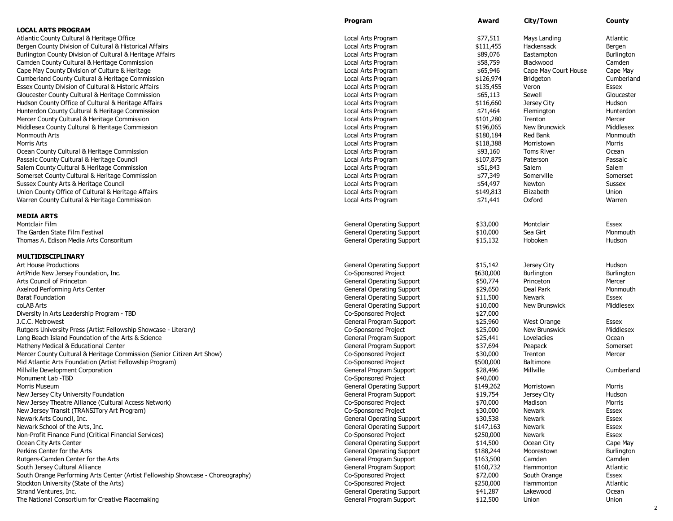|                                                                                 | Program                          | Award     | City/Town            | County        |
|---------------------------------------------------------------------------------|----------------------------------|-----------|----------------------|---------------|
| <b>LOCAL ARTS PROGRAM</b>                                                       |                                  |           |                      |               |
| Atlantic County Cultural & Heritage Office                                      | Local Arts Program               | \$77,511  | Mays Landing         | Atlantic      |
| Bergen County Division of Cultural & Historical Affairs                         | Local Arts Program               | \$111,455 | Hackensack           | Bergen        |
| Burlington County Division of Cultural & Heritage Affairs                       | Local Arts Program               | \$89,076  | Eastampton           | Burlington    |
| Camden County Cultural & Heritage Commission                                    | Local Arts Program               | \$58,759  | Blackwood            | Camden        |
| Cape May County Division of Culture & Heritage                                  | Local Arts Program               | \$65,946  | Cape May Court House | Cape May      |
| Cumberland County Cultural & Heritage Commission                                | Local Arts Program               | \$126,974 | Bridgeton            | Cumberland    |
| Essex County Division of Cultural & Historic Affairs                            | Local Arts Program               | \$135,455 | Veron                | Essex         |
| Gloucester County Cultural & Heritage Commission                                | Local Arts Program               | \$65,113  | Sewell               | Gloucester    |
| Hudson County Office of Cultural & Heritage Affairs                             | Local Arts Program               | \$116,660 | Jersey City          | Hudson        |
| Hunterdon County Cultural & Heritage Commission                                 | Local Arts Program               | \$71,464  | Flemington           | Hunterdon     |
| Mercer County Cultural & Heritage Commission                                    | Local Arts Program               | \$101,280 | Trenton              | Mercer        |
| Middlesex County Cultural & Heritage Commission                                 | Local Arts Program               | \$196,065 | New Bruncwick        | Middlesex     |
| Monmouth Arts                                                                   | Local Arts Program               | \$180,184 | Red Bank             | Monmouth      |
|                                                                                 |                                  |           |                      |               |
| Morris Arts                                                                     | Local Arts Program               | \$118,388 | Morristown           | Morris        |
| Ocean County Cultural & Heritage Commission                                     | Local Arts Program               | \$93,160  | <b>Toms River</b>    | Ocean         |
| Passaic County Cultural & Heritage Council                                      | Local Arts Program               | \$107,875 | Paterson             | Passaic       |
| Salem County Cultural & Heritage Commission                                     | Local Arts Program               | \$51,843  | Salem                | Salem         |
| Somerset County Cultural & Heritage Commission                                  | Local Arts Program               | \$77,349  | Somerville           | Somerset      |
| Sussex County Arts & Heritage Council                                           | Local Arts Program               | \$54,497  | Newton               | <b>Sussex</b> |
| Union County Office of Cultural & Heritage Affairs                              | Local Arts Program               | \$149,813 | Elizabeth            | Union         |
| Warren County Cultural & Heritage Commission                                    | Local Arts Program               | \$71,441  | Oxford               | Warren        |
| <b>MEDIA ARTS</b>                                                               |                                  |           |                      |               |
| Montclair Film                                                                  | <b>General Operating Support</b> | \$33,000  | Montclair            | Essex         |
| The Garden State Film Festival                                                  | <b>General Operating Support</b> | \$10,000  | Sea Girt             | Monmouth      |
| Thomas A. Edison Media Arts Consoritum                                          | <b>General Operating Support</b> | \$15,132  | Hoboken              | Hudson        |
|                                                                                 |                                  |           |                      |               |
| <b>MULTIDISCIPLINARY</b>                                                        |                                  |           |                      |               |
| <b>Art House Productions</b>                                                    | <b>General Operating Support</b> | \$15,142  | Jersey City          | Hudson        |
| ArtPride New Jersey Foundation, Inc.                                            | Co-Sponsored Project             | \$630,000 | Burlington           | Burlington    |
| Arts Council of Princeton                                                       | <b>General Operating Support</b> | \$50,774  | Princeton            | Mercer        |
| Axelrod Performing Arts Center                                                  | <b>General Operating Support</b> | \$29,650  | Deal Park            | Monmouth      |
| <b>Barat Foundation</b>                                                         | General Operating Support        | \$11,500  | Newark               | Essex         |
| coLAB Arts                                                                      | <b>General Operating Support</b> | \$10,000  | New Brunswick        | Middlesex     |
| Diversity in Arts Leadership Program - TBD                                      | Co-Sponsored Project             | \$27,000  |                      |               |
| J.C.C. Metrowest                                                                | General Program Support          | \$25,960  | West Orange          | Essex         |
| Rutgers University Press (Artist Fellowship Showcase - Literary)                | Co-Sponsored Project             | \$25,000  | New Brunswick        | Middlesex     |
| Long Beach Island Foundation of the Arts & Science                              | General Program Support          | \$25,441  | Loveladies           | Ocean         |
| Matheny Medical & Educational Center                                            | General Program Support          | \$37,694  | Peapack              | Somerset      |
| Mercer County Cultural & Heritage Commission (Senior Citizen Art Show)          | <b>Co-Sponsored Project</b>      | \$30,000  | Trenton              | Mercer        |
| Mid Atlantic Arts Foundation (Artist Fellowship Program)                        | Co-Sponsored Project             | \$500,000 | Baltimore            |               |
| Millville Development Corporation                                               | General Program Support          | \$28,496  | Millville            | Cumberland    |
| Monument Lab -TBD                                                               | Co-Sponsored Project             | \$40,000  |                      |               |
| <b>Morris Museum</b>                                                            | <b>General Operating Support</b> | \$149,262 | Morristown           | Morris        |
| New Jersey City University Foundation                                           | General Program Support          | \$19,754  | Jersey City          | Hudson        |
| New Jersey Theatre Alliance (Cultural Access Network)                           | Co-Sponsored Project             | \$70,000  | Madison              | Morris        |
| New Jersey Transit (TRANSITory Art Program)                                     | Co-Sponsored Project             | \$30,000  | Newark               | Essex         |
| Newark Arts Council, Inc.                                                       | <b>General Operating Support</b> | \$30,538  | Newark               | Essex         |
| Newark School of the Arts, Inc.                                                 | General Operating Support        | \$147,163 | Newark               | Essex         |
| Non-Profit Finance Fund (Critical Financial Services)                           | Co-Sponsored Project             | \$250,000 | Newark               | Essex         |
| Ocean City Arts Center                                                          |                                  |           |                      |               |
|                                                                                 | <b>General Operating Support</b> | \$14,500  | Ocean City           | Cape May      |
| Perkins Center for the Arts                                                     | <b>General Operating Support</b> | \$188,244 | Moorestown           | Burlington    |
| Rutgers-Camden Center for the Arts                                              | General Program Support          | \$163,500 | Camden               | Camden        |
| South Jersey Cultural Alliance                                                  | General Program Support          | \$160,732 | Hammonton            | Atlantic      |
| South Orange Performing Arts Center (Artist Fellowship Showcase - Choreography) | Co-Sponsored Project             | \$72,000  | South Orange         | Essex         |
| Stockton University (State of the Arts)                                         | Co-Sponsored Project             | \$250,000 | Hammonton            | Atlantic      |
| Strand Ventures, Inc.                                                           | <b>General Operating Support</b> | \$41,287  | Lakewood             | Ocean         |
| The National Consortium for Creative Placemaking                                | General Program Support          | \$12,500  | Union                | Union         |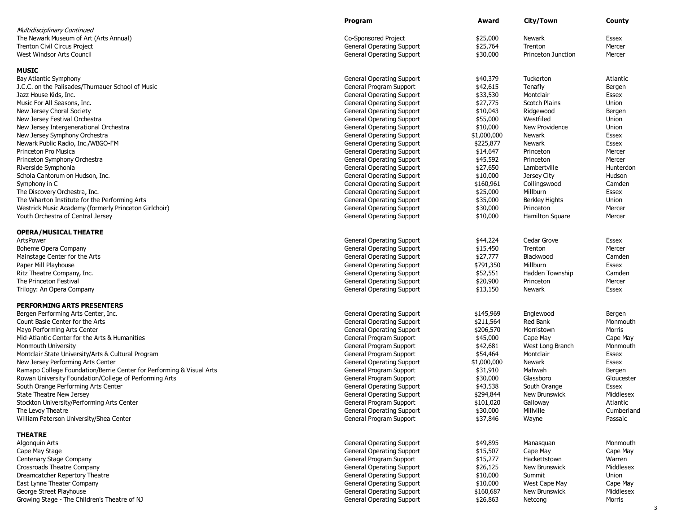|                                                                      | Program                          | Award       | City/Town                 | County       |
|----------------------------------------------------------------------|----------------------------------|-------------|---------------------------|--------------|
| <b>Multidisciplinary Continued</b>                                   |                                  |             |                           |              |
| The Newark Museum of Art (Arts Annual)                               | Co-Sponsored Project             | \$25,000    | <b>Newark</b>             | Essex        |
| <b>Trenton Civil Circus Project</b>                                  | <b>General Operating Support</b> | \$25,764    | Trenton                   | Mercer       |
| West Windsor Arts Council                                            | <b>General Operating Support</b> | \$30,000    | <b>Princeton Junction</b> | Mercer       |
|                                                                      |                                  |             |                           |              |
| <b>MUSIC</b>                                                         |                                  |             |                           |              |
| Bay Atlantic Symphony                                                | General Operating Support        | \$40,379    | Tuckerton                 | Atlantic     |
| J.C.C. on the Palisades/Thurnauer School of Music                    | General Program Support          | \$42,615    | Tenafly                   | Bergen       |
| Jazz House Kids, Inc.                                                | <b>General Operating Support</b> | \$33,530    | Montclair                 | Essex        |
| Music For All Seasons, Inc.                                          | <b>General Operating Support</b> | \$27,775    | <b>Scotch Plains</b>      | Union        |
| New Jersey Choral Society                                            | <b>General Operating Support</b> | \$10,043    | Ridgewood                 | Bergen       |
| New Jersey Festival Orchestra                                        | <b>General Operating Support</b> | \$55,000    | Westfiled                 | Union        |
| New Jersey Intergenerational Orchestra                               | <b>General Operating Support</b> | \$10,000    | New Providence            | Union        |
| New Jersey Symphony Orchestra                                        | <b>General Operating Support</b> | \$1,000,000 | <b>Newark</b>             | Essex        |
| Newark Public Radio, Inc./WBGO-FM                                    | <b>General Operating Support</b> | \$225,877   | Newark                    | Essex        |
| Princeton Pro Musica                                                 | <b>General Operating Support</b> | \$14,647    | Princeton                 | Mercer       |
| Princeton Symphony Orchestra                                         | <b>General Operating Support</b> | \$45,592    | Princeton                 | Mercer       |
| Riverside Symphonia                                                  | <b>General Operating Support</b> | \$27,650    | Lambertville              | Hunterdon    |
| Schola Cantorum on Hudson, Inc.                                      | <b>General Operating Support</b> | \$10,000    | Jersey City               | Hudson       |
| Symphony in C                                                        | <b>General Operating Support</b> | \$160,961   | Collingswood              | Camden       |
|                                                                      |                                  | \$25,000    |                           | Essex        |
| The Discovery Orchestra, Inc.                                        | <b>General Operating Support</b> |             | Millburn                  |              |
| The Wharton Institute for the Performing Arts                        | <b>General Operating Support</b> | \$35,000    | <b>Berkley Hights</b>     | Union        |
| Westrick Music Academy (formerly Princeton Girlchoir)                | <b>General Operating Support</b> | \$30,000    | Princeton                 | Mercer       |
| Youth Orchestra of Central Jersey                                    | <b>General Operating Support</b> | \$10,000    | Hamilton Square           | Mercer       |
| <b>OPERA/MUSICAL THEATRE</b>                                         |                                  |             |                           |              |
| ArtsPower                                                            | <b>General Operating Support</b> | \$44,224    | Cedar Grove               | Essex        |
| Boheme Opera Company                                                 | <b>General Operating Support</b> | \$15,450    | Trenton                   | Mercer       |
| Mainstage Center for the Arts                                        | <b>General Operating Support</b> | \$27,777    | Blackwood                 | Camden       |
| Paper Mill Playhouse                                                 | <b>General Operating Support</b> | \$791,350   | Millburn                  | Essex        |
| Ritz Theatre Company, Inc.                                           | <b>General Operating Support</b> | \$52,551    | Hadden Township           | Camden       |
| The Princeton Festival                                               | <b>General Operating Support</b> | \$20,900    | Princeton                 | Mercer       |
|                                                                      |                                  |             | Newark                    | Essex        |
| Trilogy: An Opera Company                                            | <b>General Operating Support</b> | \$13,150    |                           |              |
| <b>PERFORMING ARTS PRESENTERS</b>                                    |                                  |             |                           |              |
| Bergen Performing Arts Center, Inc.                                  | <b>General Operating Support</b> | \$145,969   | Englewood                 | Bergen       |
| Count Basie Center for the Arts                                      | <b>General Operating Support</b> | \$211,564   | Red Bank                  | Monmouth     |
| Mayo Performing Arts Center                                          | <b>General Operating Support</b> | \$206,570   | Morristown                | Morris       |
| Mid-Atlantic Center for the Arts & Humanities                        | General Program Support          | \$45,000    | Cape May                  | Cape May     |
| Monmouth University                                                  | General Program Support          | \$42,681    | West Long Branch          | Monmouth     |
| Montclair State University/Arts & Cultural Program                   | General Program Support          | \$54,464    | Montclair                 | Essex        |
| New Jersey Performing Arts Center                                    | <b>General Operating Support</b> | \$1,000,000 | Newark                    | Essex        |
| Ramapo College Foundation/Berrie Center for Performing & Visual Arts | General Program Support          | \$31,910    | Mahwah                    | Bergen       |
| Rowan University Foundation/College of Performing Arts               | General Program Support          | \$30,000    | Glassboro                 | Gloucester   |
| South Orange Performing Arts Center                                  | <b>General Operating Support</b> | \$43,538    | South Orange              | <b>Essex</b> |
|                                                                      |                                  |             |                           | Middlesex    |
| <b>State Theatre New Jersey</b>                                      | <b>General Operating Support</b> | \$294,844   | New Brunswick             |              |
| Stockton University/Performing Arts Center                           | General Program Support          | \$101,020   | Galloway                  | Atlantic     |
| The Levoy Theatre                                                    | <b>General Operating Support</b> | \$30,000    | Millville                 | Cumberland   |
| William Paterson University/Shea Center                              | General Program Support          | \$37,846    | Wayne                     | Passaic      |
| <b>THEATRE</b>                                                       |                                  |             |                           |              |
| Algonquin Arts                                                       | <b>General Operating Support</b> | \$49,895    | Manasquan                 | Monmouth     |
| Cape May Stage                                                       | <b>General Operating Support</b> | \$15,507    | Cape May                  | Cape May     |
| Centenary Stage Company                                              | General Program Support          | \$15,277    | Hackettstown              | Warren       |
| Crossroads Theatre Company                                           | <b>General Operating Support</b> | \$26,125    | New Brunswick             | Middlesex    |
| Dreamcatcher Repertory Theatre                                       | <b>General Operating Support</b> | \$10,000    | Summit                    | Union        |
| East Lynne Theater Company                                           | <b>General Operating Support</b> | \$10,000    | West Cape May             | Cape May     |
| George Street Playhouse                                              | <b>General Operating Support</b> | \$160,687   | New Brunswick             | Middlesex    |
|                                                                      |                                  |             |                           | Morris       |
| Growing Stage - The Children's Theatre of NJ                         | <b>General Operating Support</b> | \$26,863    | Netcong                   |              |